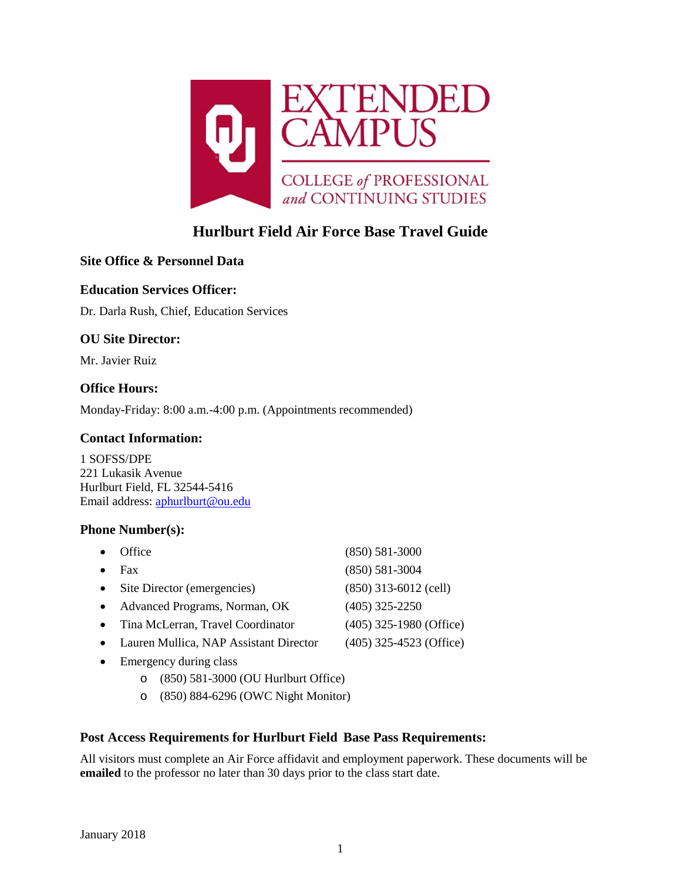

# **Hurlburt Field Air Force Base Travel Guide**

# **Site Office & Personnel Data**

# **Education Services Officer:**

Dr. Darla Rush, Chief, Education Services

# **OU Site Director:**

Mr. Javier Ruiz

# **Office Hours:**

Monday-Friday: 8:00 a.m.-4:00 p.m. (Appointments recommended)

### **Contact Information:**

1 SOFSS/DPE 221 Lukasik Avenue Hurlburt Field, FL 32544-5416 Email address: [aphurlburt@ou.edu](mailto:aphurlburt@ou.edu)

### **Phone Number(s):**

| $\bullet$ | Office                                 | $(850) 581 - 3000$        |
|-----------|----------------------------------------|---------------------------|
| $\bullet$ | Fax                                    | $(850) 581 - 3004$        |
| $\bullet$ | Site Director (emergencies)            | $(850)$ 313-6012 (cell)   |
| $\bullet$ | Advanced Programs, Norman, OK          | $(405)$ 325-2250          |
| $\bullet$ | Tina McLerran, Travel Coordinator      | $(405)$ 325-1980 (Office) |
| $\bullet$ | Lauren Mullica, NAP Assistant Director | $(405)$ 325-4523 (Office) |
|           |                                        |                           |

- Emergency during class
	- o (850) 581-3000 (OU Hurlburt Office)
	- o (850) 884-6296 (OWC Night Monitor)

### **Post Access Requirements for Hurlburt Field Base Pass Requirements:**

All visitors must complete an Air Force affidavit and employment paperwork. These documents will be **emailed** to the professor no later than 30 days prior to the class start date.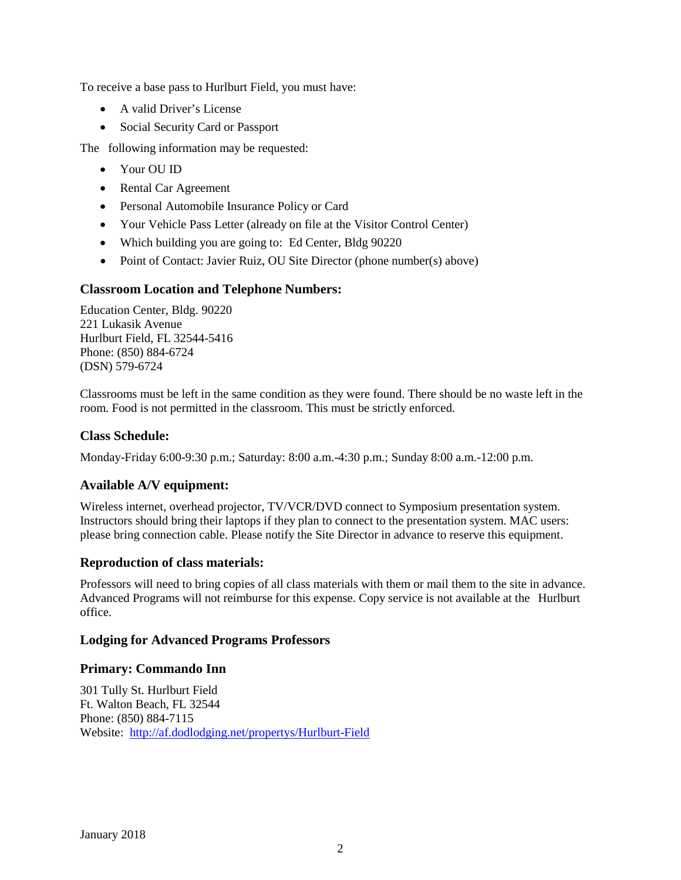To receive a base pass to Hurlburt Field, you must have:

- A valid Driver's License
- Social Security Card or Passport

The following information may be requested:

- Your OU ID
- Rental Car Agreement
- Personal Automobile Insurance Policy or Card
- Your Vehicle Pass Letter (already on file at the Visitor Control Center)
- Which building you are going to: Ed Center, Bldg 90220
- Point of Contact: Javier Ruiz, OU Site Director (phone number(s) above)

# **Classroom Location and Telephone Numbers:**

Education Center, Bldg. 90220 221 Lukasik Avenue Hurlburt Field, FL 32544-5416 Phone: (850) 884-6724 (DSN) 579-6724

Classrooms must be left in the same condition as they were found. There should be no waste left in the room. Food is not permitted in the classroom. This must be strictly enforced.

### **Class Schedule:**

Monday-Friday 6:00-9:30 p.m.; Saturday: 8:00 a.m.-4:30 p.m.; Sunday 8:00 a.m.-12:00 p.m.

# **Available A/V equipment:**

Wireless internet, overhead projector, TV/VCR/DVD connect to Symposium presentation system. Instructors should bring their laptops if they plan to connect to the presentation system. MAC users: please bring connection cable. Please notify the Site Director in advance to reserve this equipment.

### **Reproduction of class materials:**

Professors will need to bring copies of all class materials with them or mail them to the site in advance. Advanced Programs will not reimburse for this expense. Copy service is not available at the Hurlburt office.

### **Lodging for Advanced Programs Professors**

# **Primary: Commando Inn**

301 Tully St. Hurlburt Field Ft. Walton Beach, FL 32544 Phone: (850) 884-7115 Website:<http://af.dodlodging.net/propertys/Hurlburt-Field>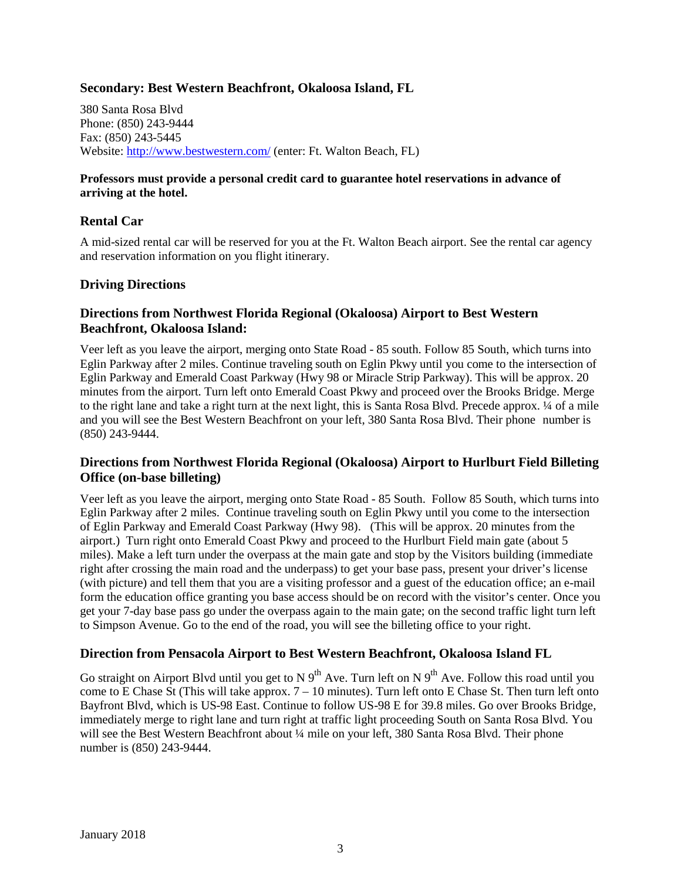### **Secondary: Best Western Beachfront, Okaloosa Island, FL**

380 Santa Rosa Blvd Phone: (850) 243-9444 Fax: (850) 243-5445 Website: http://www.bestwestern.com/ (enter: Ft. Walton Beach, FL)

#### **Professors must provide a personal credit card to guarantee hotel reservations in advance of arriving at the hotel.**

### **Rental Car**

A mid-sized rental car will be reserved for you at the Ft. Walton Beach airport. See the rental car agency and reservation information on you flight itinerary.

#### **Driving Directions**

#### **Directions from Northwest Florida Regional (Okaloosa) Airport to Best Western Beachfront, Okaloosa Island:**

Veer left as you leave the airport, merging onto State Road - 85 south. Follow 85 South, which turns into Eglin Parkway after 2 miles. Continue traveling south on Eglin Pkwy until you come to the intersection of Eglin Parkway and Emerald Coast Parkway (Hwy 98 or Miracle Strip Parkway). This will be approx. 20 minutes from the airport. Turn left onto Emerald Coast Pkwy and proceed over the Brooks Bridge. Merge to the right lane and take a right turn at the next light, this is Santa Rosa Blvd. Precede approx. ¼ of a mile and you will see the Best Western Beachfront on your left, 380 Santa Rosa Blvd. Their phone number is (850) 243-9444.

### **Directions from Northwest Florida Regional (Okaloosa) Airport to Hurlburt Field Billeting Office (on-base billeting)**

Veer left as you leave the airport, merging onto State Road - 85 South. Follow 85 South, which turns into Eglin Parkway after 2 miles. Continue traveling south on Eglin Pkwy until you come to the intersection of Eglin Parkway and Emerald Coast Parkway (Hwy 98). (This will be approx. 20 minutes from the airport.) Turn right onto Emerald Coast Pkwy and proceed to the Hurlburt Field main gate (about 5 miles). Make a left turn under the overpass at the main gate and stop by the Visitors building (immediate right after crossing the main road and the underpass) to get your base pass, present your driver's license (with picture) and tell them that you are a visiting professor and a guest of the education office; an e-mail form the education office granting you base access should be on record with the visitor's center. Once you get your 7-day base pass go under the overpass again to the main gate; on the second traffic light turn left to Simpson Avenue. Go to the end of the road, you will see the billeting office to your right.

#### **Direction from Pensacola Airport to Best Western Beachfront, Okaloosa Island FL**

Go straight on Airport Blvd until you get to N  $9^{th}$  Ave. Turn left on N  $9^{th}$  Ave. Follow this road until you come to E Chase St (This will take approx.  $7 - 10$  minutes). Turn left onto E Chase St. Then turn left onto Bayfront Blvd, which is US-98 East. Continue to follow US-98 E for 39.8 miles. Go over Brooks Bridge, immediately merge to right lane and turn right at traffic light proceeding South on Santa Rosa Blvd. You will see the Best Western Beachfront about 1/4 mile on your left, 380 Santa Rosa Blvd. Their phone number is (850) 243-9444.